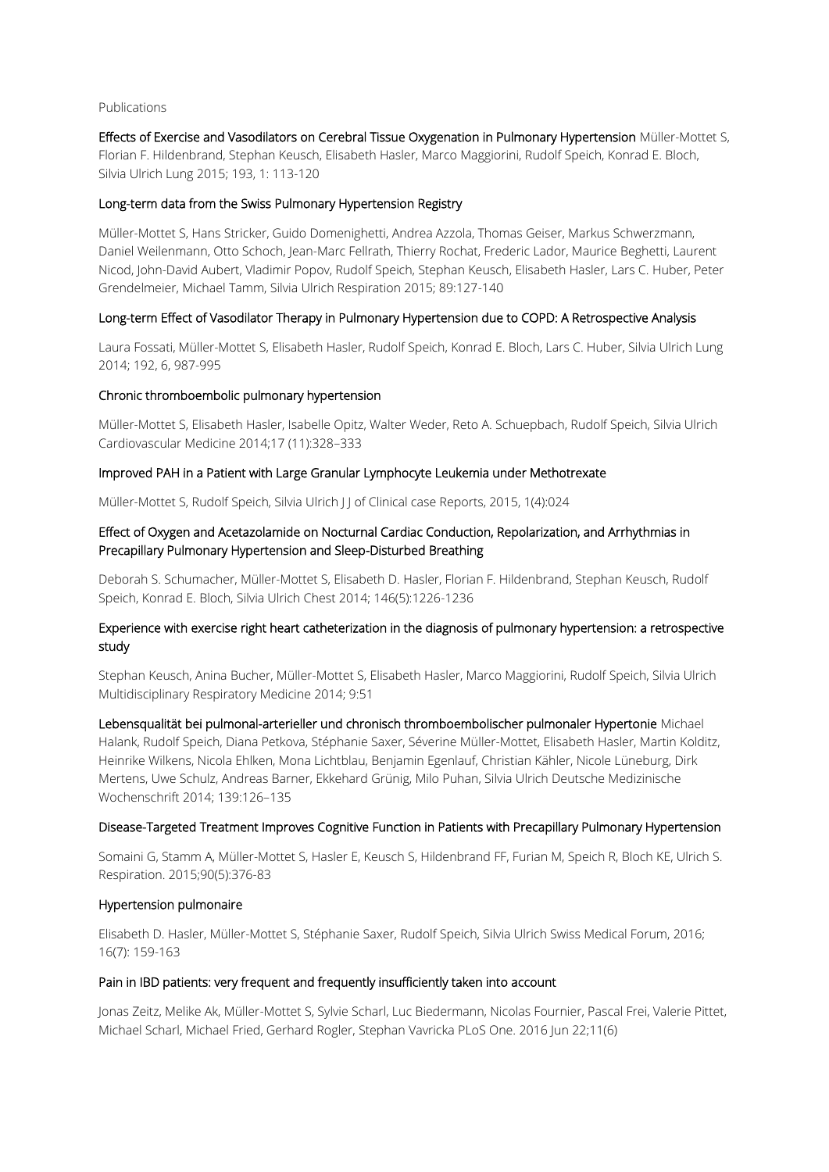#### Publications

Effects of Exercise and Vasodilators on Cerebral Tissue Oxygenation in Pulmonary Hypertension Müller-Mottet S, Florian F. Hildenbrand, Stephan Keusch, Elisabeth Hasler, Marco Maggiorini, Rudolf Speich, Konrad E. Bloch, Silvia Ulrich Lung 2015; 193, 1: 113-120

### Long-term data from the Swiss Pulmonary Hypertension Registry

Müller-Mottet S, Hans Stricker, Guido Domenighetti, Andrea Azzola, Thomas Geiser, Markus Schwerzmann, Daniel Weilenmann, Otto Schoch, Jean-Marc Fellrath, Thierry Rochat, Frederic Lador, Maurice Beghetti, Laurent Nicod, John-David Aubert, Vladimir Popov, Rudolf Speich, Stephan Keusch, Elisabeth Hasler, Lars C. Huber, Peter Grendelmeier, Michael Tamm, Silvia Ulrich Respiration 2015; 89:127-140

## Long-term Effect of Vasodilator Therapy in Pulmonary Hypertension due to COPD: A Retrospective Analysis

Laura Fossati, Müller-Mottet S, Elisabeth Hasler, Rudolf Speich, Konrad E. Bloch, Lars C. Huber, Silvia Ulrich Lung 2014; 192, 6, 987-995

## Chronic thromboembolic pulmonary hypertension

Müller-Mottet S, Elisabeth Hasler, Isabelle Opitz, Walter Weder, Reto A. Schuepbach, Rudolf Speich, Silvia Ulrich Cardiovascular Medicine 2014;17 (11):328–333

## Improved PAH in a Patient with Large Granular Lymphocyte Leukemia under Methotrexate

Müller-Mottet S, Rudolf Speich, Silvia Ulrich J J of Clinical case Reports, 2015, 1(4):024

# Effect of Oxygen and Acetazolamide on Nocturnal Cardiac Conduction, Repolarization, and Arrhythmias in Precapillary Pulmonary Hypertension and Sleep-Disturbed Breathing

Deborah S. Schumacher, Müller-Mottet S, Elisabeth D. Hasler, Florian F. Hildenbrand, Stephan Keusch, Rudolf Speich, Konrad E. Bloch, Silvia Ulrich Chest 2014; 146(5):1226-1236

# Experience with exercise right heart catheterization in the diagnosis of pulmonary hypertension: a retrospective study

Stephan Keusch, Anina Bucher, Müller-Mottet S, Elisabeth Hasler, Marco Maggiorini, Rudolf Speich, Silvia Ulrich Multidisciplinary Respiratory Medicine 2014; 9:51

Lebensqualität bei pulmonal-arterieller und chronisch thromboembolischer pulmonaler Hypertonie Michael Halank, Rudolf Speich, Diana Petkova, Stéphanie Saxer, Séverine Müller-Mottet, Elisabeth Hasler, Martin Kolditz, Heinrike Wilkens, Nicola Ehlken, Mona Lichtblau, Benjamin Egenlauf, Christian Kähler, Nicole Lüneburg, Dirk Mertens, Uwe Schulz, Andreas Barner, Ekkehard Grünig, Milo Puhan, Silvia Ulrich Deutsche Medizinische Wochenschrift 2014; 139:126–135

### Disease-Targeted Treatment Improves Cognitive Function in Patients with Precapillary Pulmonary Hypertension

Somaini G, Stamm A, Müller-Mottet S, Hasler E, Keusch S, Hildenbrand FF, Furian M, Speich R, Bloch KE, Ulrich S. Respiration. 2015;90(5):376-83

### Hypertension pulmonaire

Elisabeth D. Hasler, Müller-Mottet S, Stéphanie Saxer, Rudolf Speich, Silvia Ulrich Swiss Medical Forum, 2016; 16(7): 159-163

### Pain in IBD patients: very frequent and frequently insufficiently taken into account

Jonas Zeitz, Melike Ak, Müller-Mottet S, Sylvie Scharl, Luc Biedermann, Nicolas Fournier, Pascal Frei, Valerie Pittet, Michael Scharl, Michael Fried, Gerhard Rogler, Stephan Vavricka PLoS One. 2016 Jun 22;11(6)